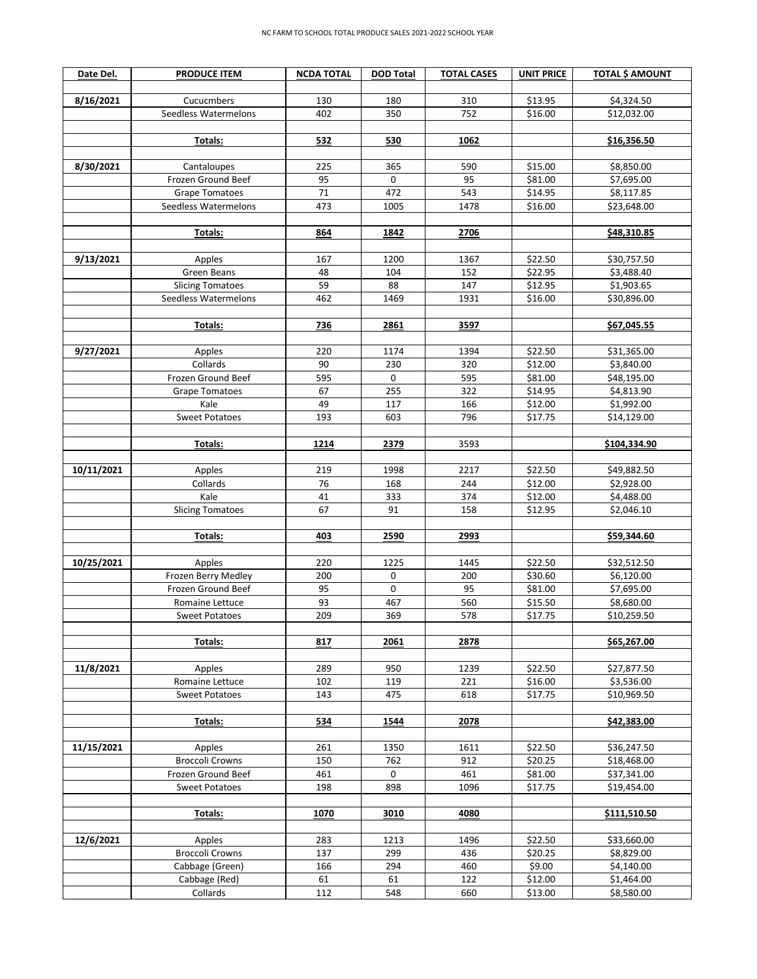| Date Del.  | <b>PRODUCE ITEM</b>                   | <b>NCDA TOTAL</b> | <b>DOD Total</b> | <b>TOTAL CASES</b> | <b>UNIT PRICE</b>  | <b>TOTAL \$ AMOUNT</b>    |
|------------|---------------------------------------|-------------------|------------------|--------------------|--------------------|---------------------------|
|            |                                       |                   |                  |                    |                    |                           |
| 8/16/2021  | Cucucmbers                            | 130               | 180              | 310                | \$13.95            | \$4,324.50                |
|            | Seedless Watermelons                  | 402               | 350              | 752                | \$16.00            | \$12,032.00               |
|            |                                       |                   |                  |                    |                    |                           |
|            | Totals:                               | 532               | 530              | 1062               |                    | \$16,356.50               |
|            |                                       |                   |                  |                    |                    |                           |
| 8/30/2021  | Cantaloupes                           | 225               | 365              | 590                | \$15.00            | \$8,850.00                |
|            | Frozen Ground Beef                    | 95                | $\mathsf 0$      | 95                 | \$81.00            | \$7,695.00                |
|            | <b>Grape Tomatoes</b>                 | 71<br>473         | 472              | 543                | \$14.95            | \$8,117.85                |
|            | Seedless Watermelons                  |                   | 1005             | 1478               | \$16.00            | \$23,648.00               |
|            | Totals:                               | 864               | 1842             | 2706               |                    | \$48,310.85               |
|            |                                       |                   |                  |                    |                    |                           |
| 9/13/2021  | Apples                                | 167               | 1200             | 1367               | \$22.50            | \$30,757.50               |
|            | Green Beans                           | 48                | 104              | 152                | \$22.95            | \$3,488.40                |
|            | <b>Slicing Tomatoes</b>               | 59                | 88               | 147                | \$12.95            | \$1,903.65                |
|            | Seedless Watermelons                  | 462               | 1469             | 1931               | \$16.00            | \$30,896.00               |
|            |                                       |                   |                  |                    |                    |                           |
|            | Totals:                               | 736               | 2861             | 3597               |                    | \$67,045.55               |
|            |                                       |                   |                  |                    |                    |                           |
| 9/27/2021  | Apples                                | 220               | 1174             | 1394               | \$22.50            | \$31,365.00               |
|            | Collards                              | 90                | 230              | 320                | \$12.00            | \$3,840.00                |
|            | Frozen Ground Beef                    | 595               | 0                | 595                | \$81.00            | \$48,195.00               |
|            | <b>Grape Tomatoes</b>                 | 67                | 255              | 322                | \$14.95            | \$4,813.90                |
|            | Kale                                  | 49                | 117              | 166                | \$12.00            | \$1,992.00                |
|            | <b>Sweet Potatoes</b>                 | 193               | 603              | 796                | \$17.75            | \$14,129.00               |
|            | Totals:                               | 1214              | 2379             | 3593               |                    | \$104,334.90              |
|            |                                       |                   |                  |                    |                    |                           |
| 10/11/2021 | Apples                                | 219               | 1998             | 2217               | \$22.50            | \$49,882.50               |
|            | Collards                              | 76                | 168              | 244                | \$12.00            | \$2,928.00                |
|            | Kale                                  | 41                | 333              | 374                | \$12.00            | \$4,488.00                |
|            | <b>Slicing Tomatoes</b>               | 67                | 91               | 158                | \$12.95            | \$2,046.10                |
|            |                                       |                   |                  |                    |                    |                           |
|            | Totals:                               | 403               | 2590             | 2993               |                    | \$59,344.60               |
|            |                                       |                   |                  |                    |                    |                           |
| 10/25/2021 | Apples                                | 220               | 1225             | 1445               | \$22.50            | \$32,512.50               |
|            | Frozen Berry Medley                   | 200               | 0                | 200                | \$30.60            | \$6,120.00                |
|            | Frozen Ground Beef<br>Romaine Lettuce | 95<br>93          | 0<br>467         | 95<br>560          | \$81.00            | \$7,695.00                |
|            | <b>Sweet Potatoes</b>                 | 209               | 369              | 578                | \$15.50<br>\$17.75 | \$8,680.00<br>\$10,259.50 |
|            |                                       |                   |                  |                    |                    |                           |
|            | Totals:                               | 817               | 2061             | 2878               |                    | \$65,267.00               |
|            |                                       |                   |                  |                    |                    |                           |
| 11/8/2021  | Apples                                | 289               | 950              | 1239               | \$22.50            | \$27,877.50               |
|            | Romaine Lettuce                       | 102               | 119              | 221                | \$16.00            | \$3,536.00                |
|            | <b>Sweet Potatoes</b>                 | 143               | 475              | 618                | \$17.75            | \$10,969.50               |
|            |                                       |                   |                  |                    |                    |                           |
|            | Totals:                               | 534               | 1544             | 2078               |                    | \$42,383.00               |
| 11/15/2021 | Apples                                | 261               | 1350             | 1611               | \$22.50            | \$36,247.50               |
|            | <b>Broccoli Crowns</b>                | 150               | 762              | 912                | \$20.25            | \$18,468.00               |
|            | Frozen Ground Beef                    | 461               | 0                | 461                | \$81.00            | \$37,341.00               |
|            | <b>Sweet Potatoes</b>                 | 198               | 898              | 1096               | \$17.75            | \$19,454.00               |
|            |                                       |                   |                  |                    |                    |                           |
|            | Totals:                               | 1070              | 3010             | 4080               |                    | \$111,510.50              |
|            |                                       |                   |                  |                    |                    |                           |
| 12/6/2021  | Apples                                | 283               | 1213             | 1496               | \$22.50            | \$33,660.00               |
|            | <b>Broccoli Crowns</b>                | 137<br>166        | 299<br>294       | 436<br>460         | \$20.25<br>\$9.00  | \$8,829.00<br>\$4,140.00  |
|            | Cabbage (Green)<br>Cabbage (Red)      | 61                | 61               | 122                | \$12.00            | \$1,464.00                |
|            | Collards                              | 112               | 548              | 660                | \$13.00            | \$8,580.00                |
|            |                                       |                   |                  |                    |                    |                           |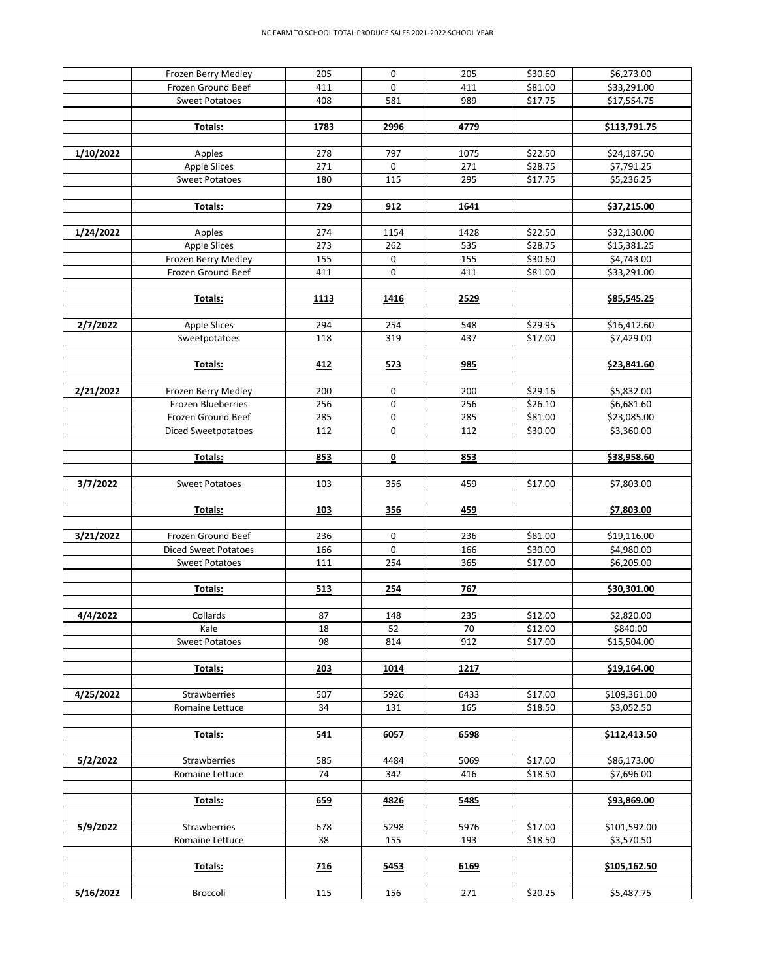|           | Frozen Berry Medley                  | 205        | 0          | 205        | \$30.60            | \$6,273.00                |
|-----------|--------------------------------------|------------|------------|------------|--------------------|---------------------------|
|           | Frozen Ground Beef                   | 411        | 0          | 411        | \$81.00            | \$33,291.00               |
|           | <b>Sweet Potatoes</b>                | 408        | 581        | 989        | \$17.75            | \$17,554.75               |
|           |                                      |            |            |            |                    |                           |
|           | Totals:                              | 1783       | 2996       | 4779       |                    | \$113,791.75              |
| 1/10/2022 | Apples                               | 278        | 797        | 1075       | \$22.50            | \$24,187.50               |
|           | <b>Apple Slices</b>                  | 271        | 0          | 271        | \$28.75            | \$7,791.25                |
|           | <b>Sweet Potatoes</b>                | 180        | 115        | 295        | \$17.75            | \$5,236.25                |
|           |                                      |            |            |            |                    |                           |
|           | Totals:                              | 729        | 912        | 1641       |                    | \$37,215.00               |
|           |                                      |            |            |            |                    |                           |
| 1/24/2022 | Apples                               | 274        | 1154       | 1428       | \$22.50            | \$32,130.00               |
|           | <b>Apple Slices</b>                  | 273        | 262        | 535        | \$28.75            | \$15,381.25               |
|           | Frozen Berry Medley                  | 155        | 0          | 155        | \$30.60            | \$4,743.00                |
|           | Frozen Ground Beef                   | 411        | 0          | 411        | \$81.00            | \$33,291.00               |
|           |                                      |            |            |            |                    |                           |
|           | Totals:                              | 1113       | 1416       | 2529       |                    | \$85,545.25               |
|           |                                      |            |            |            |                    |                           |
| 2/7/2022  | <b>Apple Slices</b><br>Sweetpotatoes | 294<br>118 | 254<br>319 | 548<br>437 | \$29.95<br>\$17.00 | \$16,412.60<br>\$7,429.00 |
|           |                                      |            |            |            |                    |                           |
|           | Totals:                              | 412        | 573        | 985        |                    | \$23,841.60               |
|           |                                      |            |            |            |                    |                           |
| 2/21/2022 | Frozen Berry Medley                  | 200        | 0          | 200        | \$29.16            | \$5,832.00                |
|           | Frozen Blueberries                   | 256        | 0          | 256        | \$26.10            | \$6,681.60                |
|           | Frozen Ground Beef                   | 285        | 0          | 285        | \$81.00            | \$23,085.00               |
|           | Diced Sweetpotatoes                  | 112        | 0          | 112        | \$30.00            | \$3,360.00                |
|           |                                      |            |            |            |                    |                           |
|           | Totals:                              | 853        | 0          | 853        |                    | \$38,958.60               |
|           |                                      |            |            |            |                    |                           |
| 3/7/2022  | Sweet Potatoes                       | 103        | 356        | 459        | \$17.00            | \$7,803.00                |
|           |                                      |            |            |            |                    |                           |
|           | Totals:                              | 103        | 356        | 459        |                    | \$7,803.00                |
| 3/21/2022 | Frozen Ground Beef                   | 236        | 0          | 236        | \$81.00            | \$19,116.00               |
|           | <b>Diced Sweet Potatoes</b>          | 166        | 0          | 166        | \$30.00            | \$4,980.00                |
|           | <b>Sweet Potatoes</b>                | 111        | 254        | 365        | \$17.00            | \$6,205.00                |
|           |                                      |            |            |            |                    |                           |
|           | Totals:                              | 513        | 254        | 767        |                    | \$30,301.00               |
|           |                                      |            |            |            |                    |                           |
| 4/4/2022  | Collards                             | 87         | 148        | 235        | \$12.00            | \$2,820.00                |
|           | Kale                                 | 18         | 52         | 70         | \$12.00            | \$840.00                  |
|           | <b>Sweet Potatoes</b>                | 98         | 814        | 912        | \$17.00            | \$15,504.00               |
|           |                                      |            |            |            |                    |                           |
|           | Totals:                              | 203        | 1014       | 1217       |                    | \$19,164.00               |
| 4/25/2022 | Strawberries                         | 507        | 5926       | 6433       | \$17.00            | \$109,361.00              |
|           | Romaine Lettuce                      | 34         | 131        | 165        | \$18.50            | \$3,052.50                |
|           |                                      |            |            |            |                    |                           |
|           | Totals:                              | 541        | 6057       | 6598       |                    | \$112,413.50              |
|           |                                      |            |            |            |                    |                           |
| 5/2/2022  | Strawberries                         | 585        | 4484       | 5069       | \$17.00            | \$86,173.00               |
|           | Romaine Lettuce                      | 74         | 342        | 416        | \$18.50            | \$7,696.00                |
|           |                                      |            |            |            |                    |                           |
|           | Totals:                              | 659        | 4826       | 5485       |                    | \$93,869.00               |
|           |                                      |            |            |            |                    |                           |
| 5/9/2022  | Strawberries                         | 678        | 5298       | 5976       | \$17.00            | \$101,592.00              |
|           | Romaine Lettuce                      | 38         | 155        | 193        | \$18.50            | \$3,570.50                |
|           |                                      |            |            |            |                    |                           |
|           | Totals:                              | 716        | 5453       | 6169       |                    | \$105,162.50              |
| 5/16/2022 | Broccoli                             | 115        | 156        | 271        | \$20.25            | \$5,487.75                |
|           |                                      |            |            |            |                    |                           |